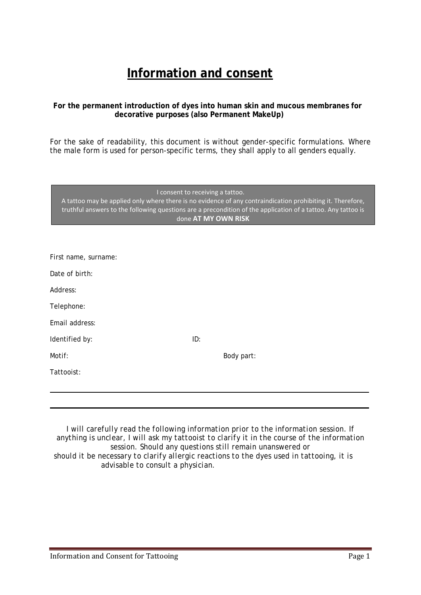# **Information and consent**

# **For the permanent introduction of dyes into human skin and mucous membranes for decorative purposes (also Permanent MakeUp)**

For the sake of readability, this document is without gender-specific formulations. Where the male form is used for person-specific terms, they shall apply to all genders equally.

I consent to receiving a tattoo.

A tattoo may be applied only where there is no evidence of any contraindication prohibiting it. Therefore, truthful answers to the following questions are a precondition of the application of a tattoo. Any tattoo is done **AT MY OWN RISK**

| First name, surname: |     |            |
|----------------------|-----|------------|
| Date of birth:       |     |            |
| Address:             |     |            |
| Telephone:           |     |            |
| Email address:       |     |            |
| Identified by:       | ID: |            |
| Motif:               |     | Body part: |
| Tattooist:           |     |            |
|                      |     |            |
|                      |     |            |

*I will carefully read the following information prior to the information session. If anything is unclear, I will ask my tattooist to clarify it in the course of the information session. Should any questions still remain unanswered or should it be necessary to clarify allergic reactions to the dyes used in tattooing, it is advisable to consult a physician.*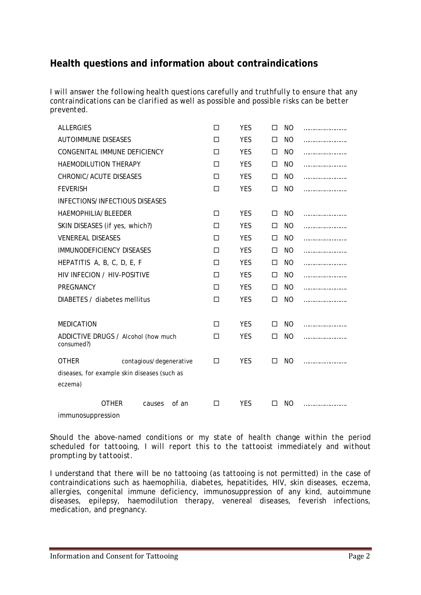# **Health questions and information about contraindications**

*I will answer the following health questions carefully and truthfully to ensure that any contraindications can be clarified as well as possible and possible risks can be better prevented.* 

| <b>ALLERGIES</b>                             | П | <b>YES</b> | п      | N <sub>O</sub> |  |
|----------------------------------------------|---|------------|--------|----------------|--|
| <b>AUTOIMMUNE DISEASES</b>                   | п | <b>YES</b> | п      | NO.            |  |
| CONGENITAL IMMUNE DEFICIENCY                 | П | <b>YES</b> | $\Box$ | NO.            |  |
| HAEMODILUTION THERAPY                        | П | <b>YES</b> | $\Box$ | NO.            |  |
| <b>CHRONIC/ACUTE DISEASES</b>                | п | <b>YES</b> | $\Box$ | NO.            |  |
| <b>FEVERISH</b>                              | П | <b>YES</b> | П      | NO.            |  |
| <b>INFECTIONS/INFECTIOUS DISEASES</b>        |   |            |        |                |  |
| HAEMOPHILIA/BLEEDER                          | П | <b>YES</b> | П      | NO.            |  |
| SKIN DISEASES (if yes, which?)               | П | <b>YES</b> | $\Box$ | NO.            |  |
| <b>VENEREAL DISEASES</b>                     | п | <b>YES</b> | $\Box$ | NO.            |  |
| <b>IMMUNODEFICIENCY DISEASES</b>             | П | <b>YES</b> | $\Box$ | NO.            |  |
| HEPATITIS A, B, C, D, E, F                   | п | <b>YES</b> | $\Box$ | NO.            |  |
| HIV INFECION / HIV-POSITIVE                  | П | <b>YES</b> | $\Box$ | NO.            |  |
| PREGNANCY                                    | П | <b>YES</b> | $\Box$ | NO.            |  |
| DIABETES / diabetes mellitus                 | п | <b>YES</b> | П      | NO.            |  |
|                                              |   |            |        |                |  |
| <b>MEDICATION</b>                            | П | <b>YES</b> | П      | NO.            |  |
| ADDICTIVE DRUGS / Alcohol (how much          | П | <b>YES</b> | П      | NO.            |  |
| consumed?)                                   |   |            |        |                |  |
| <b>OTHER</b><br>contagious/degenerative      | П | <b>YES</b> | П      | NO.            |  |
| diseases, for example skin diseases (such as |   |            |        |                |  |
| eczema)                                      |   |            |        |                |  |
| of an<br><b>OTHER</b><br>causes              | П | <b>YES</b> |        | NO.            |  |
| immunosuppression                            |   |            |        |                |  |

*Should the above-named conditions or my state of health change within the period scheduled for tattooing, I will report this to the tattooist immediately and without prompting by tattooist.* 

I understand that there will be no tattooing (as tattooing is not permitted) in the case of contraindications such as haemophilia, diabetes, hepatitides, HIV, skin diseases, eczema, allergies, congenital immune deficiency, immunosuppression of any kind, autoimmune diseases, epilepsy, haemodilution therapy, venereal diseases, feverish infections, medication, and pregnancy.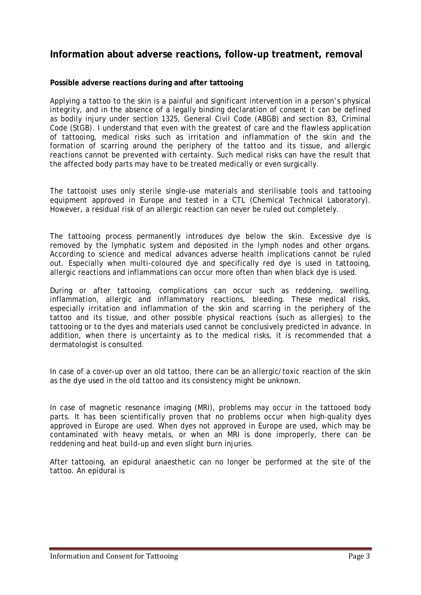# **Information about adverse reactions, follow-up treatment, removal**

## **Possible adverse reactions during and after tattooing**

Applying a tattoo to the skin is a painful and significant intervention in a person's physical integrity, and in the absence of a legally binding declaration of consent it can be defined as bodily injury under section 1325, General Civil Code (ABGB) and section 83, Criminal Code (StGB). I understand that even with the greatest of care and the flawless application of tattooing, medical risks such as irritation and inflammation of the skin and the formation of scarring around the periphery of the tattoo and its tissue, and allergic reactions cannot be prevented with certainty. Such medical risks can have the result that the affected body parts may have to be treated medically or even surgically.

The tattooist uses only sterile single-use materials and sterilisable tools and tattooing equipment approved in Europe and tested in a CTL (Chemical Technical Laboratory). However, a residual risk of an allergic reaction can never be ruled out completely.

The tattooing process permanently introduces dye below the skin. Excessive dye is removed by the lymphatic system and deposited in the lymph nodes and other organs. According to science and medical advances adverse health implications cannot be ruled out. Especially when multi-coloured dye and specifically red dye is used in tattooing, allergic reactions and inflammations can occur more often than when black dye is used.

During or after tattooing, complications can occur such as reddening, swelling, inflammation, allergic and inflammatory reactions, bleeding. These medical risks, especially irritation and inflammation of the skin and scarring in the periphery of the tattoo and its tissue, and other possible physical reactions (such as allergies) to the tattooing or to the dyes and materials used cannot be conclusively predicted in advance. In addition, when there is uncertainty as to the medical risks, it is recommended that a dermatologist is consulted.

In case of a cover-up over an old tattoo, there can be an allergic/toxic reaction of the skin as the dye used in the old tattoo and its consistency might be unknown.

In case of magnetic resonance imaging (MRI), problems may occur in the tattooed body parts. It has been scientifically proven that no problems occur when high-quality dyes approved in Europe are used. When dyes not approved in Europe are used, which may be contaminated with heavy metals, or when an MRI is done improperly, there can be reddening and heat build-up and even slight burn injuries.

After tattooing, an epidural anaesthetic can no longer be performed at the site of the tattoo. An epidural is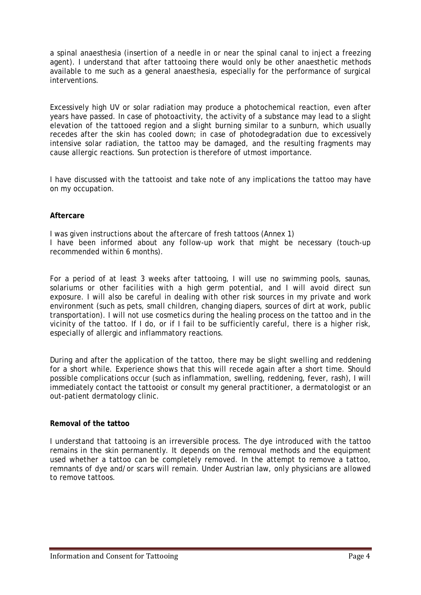a spinal anaesthesia (insertion of a needle in or near the spinal canal to inject a freezing agent). I understand that after tattooing there would only be other anaesthetic methods available to me such as a general anaesthesia, especially for the performance of surgical interventions.

Excessively high UV or solar radiation may produce a photochemical reaction, even after years have passed. In case of photoactivity, the activity of a substance may lead to a slight elevation of the tattooed region and a slight burning similar to a sunburn, which usually recedes after the skin has cooled down; in case of photodegradation due to excessively intensive solar radiation, the tattoo may be damaged, and the resulting fragments may cause allergic reactions. Sun protection is therefore of utmost importance.

I have discussed with the tattooist and take note of any implications the tattoo may have on my occupation.

## **Aftercare**

I was given instructions about the aftercare of fresh tattoos (Annex 1) I have been informed about any follow-up work that might be necessary (touch-up recommended within 6 months).

For a period of at least 3 weeks after tattooing, I will use no swimming pools, saunas, solariums or other facilities with a high germ potential, and I will avoid direct sun exposure. I will also be careful in dealing with other risk sources in my private and work environment (such as pets, small children, changing diapers, sources of dirt at work, public transportation). I will not use cosmetics during the healing process on the tattoo and in the vicinity of the tattoo. If I do, or if I fail to be sufficiently careful, there is a higher risk, especially of allergic and inflammatory reactions.

During and after the application of the tattoo, there may be slight swelling and reddening for a short while. Experience shows that this will recede again after a short time. Should possible complications occur (such as inflammation, swelling, reddening, fever, rash), I will immediately contact the tattooist or consult my general practitioner, a dermatologist or an out-patient dermatology clinic.

## **Removal of the tattoo**

I understand that tattooing is an irreversible process. The dye introduced with the tattoo remains in the skin permanently. It depends on the removal methods and the equipment used whether a tattoo can be completely removed. In the attempt to remove a tattoo, remnants of dye and/or scars will remain. Under Austrian law, only physicians are allowed to remove tattoos.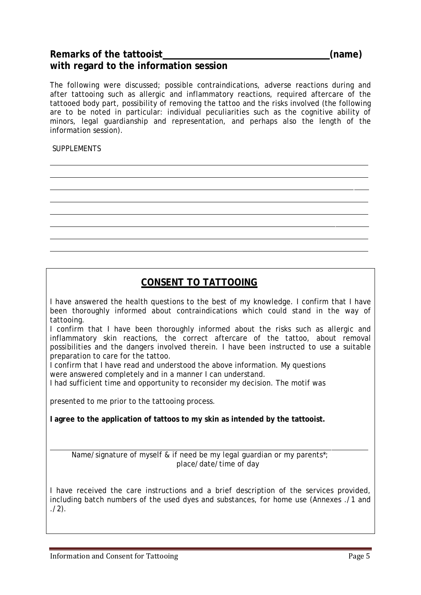# Remarks of the tattooist **Example 2018** (name) **with regard to the information session**

The following were discussed; possible contraindications, adverse reactions during and after tattooing such as allergic and inflammatory reactions, required aftercare of the tattooed body part, possibility of removing the tattoo and the risks involved (the following are to be noted in particular: individual peculiarities such as the cognitive ability of minors, legal guardianship and representation, and perhaps also the length of the information session).

# SUPPLEMENTS

# **CONSENT TO TATTOOING**

I have answered the health questions to the best of my knowledge. I confirm that I have been thoroughly informed about contraindications which could stand in the way of tattooing.

I confirm that I have been thoroughly informed about the risks such as allergic and inflammatory skin reactions, the correct aftercare of the tattoo, about removal possibilities and the dangers involved therein. I have been instructed to use a suitable preparation to care for the tattoo.

I confirm that I have read and understood the above information. My questions were answered completely and in a manner I can understand.

I had sufficient time and opportunity to reconsider my decision. The motif was

presented to me prior to the tattooing process.

**I agree to the application of tattoos to my skin as intended by the tattooist.** 

Name/signature of myself & if need be my legal guardian or my parents\*; place/date/time of day

I have received the care instructions and a brief description of the services provided, including batch numbers of the used dyes and substances, for home use (Annexes ./1 and  $(2)$ .